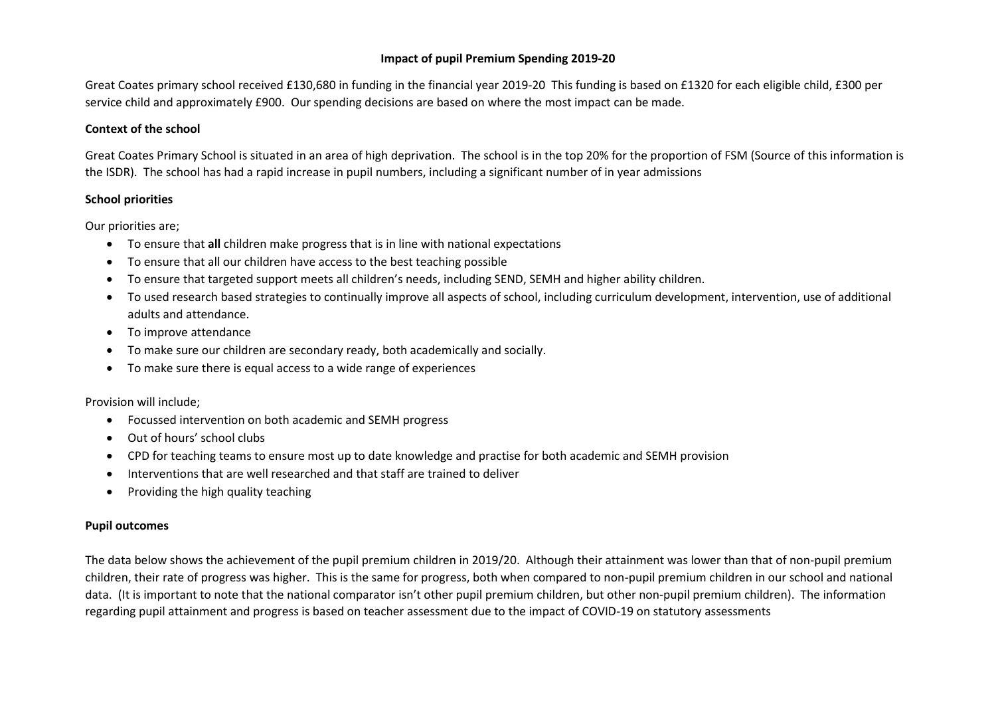# **Impact of pupil Premium Spending 2019-20**

Great Coates primary school received £130,680 in funding in the financial year 2019-20 This funding is based on £1320 for each eligible child, £300 per service child and approximately £900. Our spending decisions are based on where the most impact can be made.

## **Context of the school**

Great Coates Primary School is situated in an area of high deprivation. The school is in the top 20% for the proportion of FSM (Source of this information is the ISDR). The school has had a rapid increase in pupil numbers, including a significant number of in year admissions

### **School priorities**

Our priorities are;

- To ensure that **all** children make progress that is in line with national expectations
- To ensure that all our children have access to the best teaching possible
- To ensure that targeted support meets all children's needs, including SEND, SEMH and higher ability children.
- To used research based strategies to continually improve all aspects of school, including curriculum development, intervention, use of additional adults and attendance.
- To improve attendance
- To make sure our children are secondary ready, both academically and socially.
- To make sure there is equal access to a wide range of experiences

Provision will include;

- Focussed intervention on both academic and SEMH progress
- Out of hours' school clubs
- CPD for teaching teams to ensure most up to date knowledge and practise for both academic and SEMH provision
- Interventions that are well researched and that staff are trained to deliver
- Providing the high quality teaching

### **Pupil outcomes**

The data below shows the achievement of the pupil premium children in 2019/20. Although their attainment was lower than that of non-pupil premium children, their rate of progress was higher. This is the same for progress, both when compared to non-pupil premium children in our school and national data. (It is important to note that the national comparator isn't other pupil premium children, but other non-pupil premium children). The information regarding pupil attainment and progress is based on teacher assessment due to the impact of COVID-19 on statutory assessments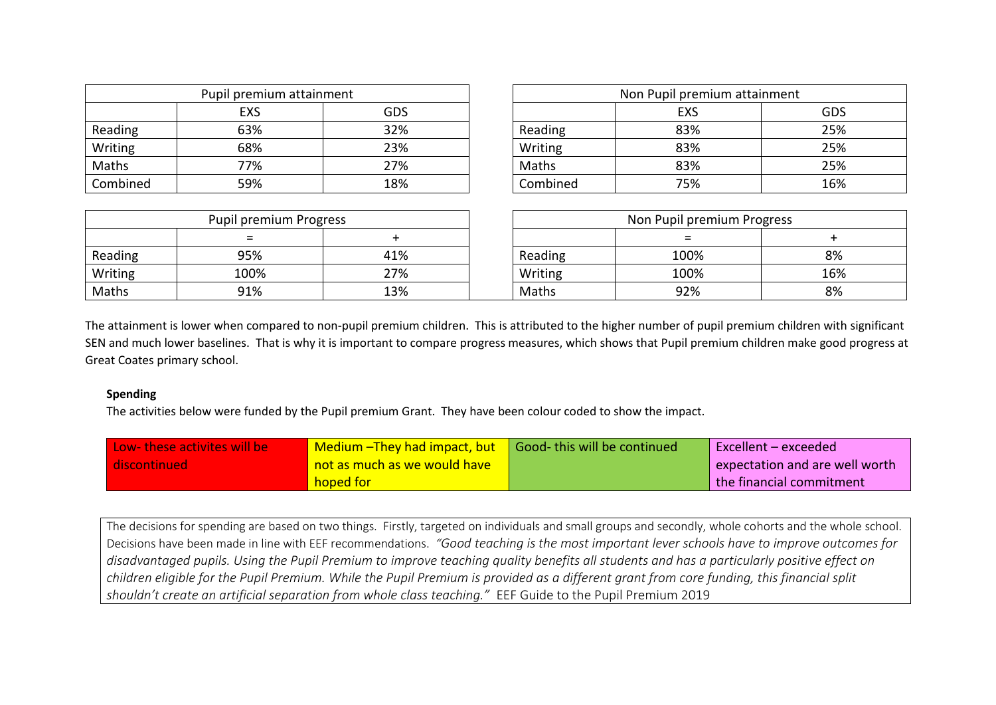| Pupil premium attainment |     | Non Pupil premium attainment |          |            |     |
|--------------------------|-----|------------------------------|----------|------------|-----|
|                          | EXS | GDS                          |          | <b>EXS</b> | GDS |
| Reading                  | 63% | 32%                          | Reading  | 83%        | 25% |
| Writing                  | 68% | 23%                          | Writing  | 83%        | 25% |
| Maths                    | 77% | 27%                          | Maths    | 83%        | 25% |
| Combined                 | 59% | 18%                          | Combined | 75%        | 16% |

| Pupil premium attainment |     |         | Non Pupil premium attainment |            |     |
|--------------------------|-----|---------|------------------------------|------------|-----|
| <b>EXS</b>               | GDS |         |                              | <b>EXS</b> | GDS |
| 63%                      | 32% | Reading |                              | 83%        | 25% |
| 68%                      | 23% | Writing |                              | 83%        | 25% |
| 77%                      | 27% | Maths   |                              | 83%        | 25% |
| 59%                      | 18% |         | Combined                     | 75%        | 16% |

| Pupil premium Progress |      | Non Pupil premium Progress |         |      |     |
|------------------------|------|----------------------------|---------|------|-----|
|                        |      |                            |         |      |     |
| Reading                | 95%  | 41%                        | Reading | 100% | 8%  |
| Writing                | 100% | 27%                        | Writing | 100% | 16% |
| Maths                  | 91%  | 13%                        | Maths   | 92%  | 8%  |

The attainment is lower when compared to non-pupil premium children. This is attributed to the higher number of pupil premium children with significant SEN and much lower baselines. That is why it is important to compare progress measures, which shows that Pupil premium children make good progress at Great Coates primary school.

#### **Spending**

The activities below were funded by the Pupil premium Grant. They have been colour coded to show the impact.

| Low- these activites will be | Medium - They had impact, but   Good- this will be continued | Excellent – exceeded           |
|------------------------------|--------------------------------------------------------------|--------------------------------|
| discontinued                 | <b>not as much as we would have</b>                          | expectation and are well worth |
|                              | hoped for                                                    | the financial commitment       |

The decisions for spending are based on two things. Firstly, targeted on individuals and small groups and secondly, whole cohorts and the whole school. Decisions have been made in line with EEF recommendations. *"Good teaching is the most important lever schools have to improve outcomes for disadvantaged pupils. Using the Pupil Premium to improve teaching quality benefits all students and has a particularly positive effect on children eligible for the Pupil Premium. While the Pupil Premium is provided as a different grant from core funding, this financial split shouldn't create an artificial separation from whole class teaching."* EEF Guide to the Pupil Premium 2019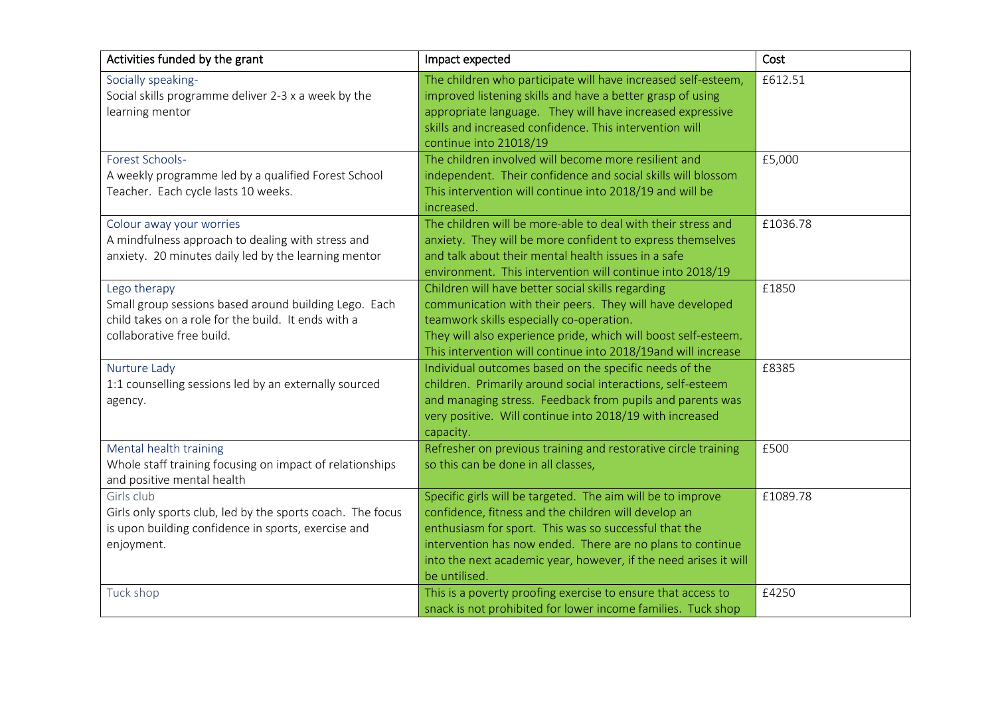| Activities funded by the grant                                                                                                                            | Impact expected                                                                                                                                                                                                                                                                                                                 | Cost     |
|-----------------------------------------------------------------------------------------------------------------------------------------------------------|---------------------------------------------------------------------------------------------------------------------------------------------------------------------------------------------------------------------------------------------------------------------------------------------------------------------------------|----------|
| Socially speaking-<br>Social skills programme deliver 2-3 x a week by the<br>learning mentor                                                              | The children who participate will have increased self-esteem,<br>improved listening skills and have a better grasp of using<br>appropriate language. They will have increased expressive<br>skills and increased confidence. This intervention will<br>continue into 21018/19                                                   | £612.51  |
| Forest Schools-<br>A weekly programme led by a qualified Forest School<br>Teacher. Each cycle lasts 10 weeks.                                             | The children involved will become more resilient and<br>independent. Their confidence and social skills will blossom<br>This intervention will continue into 2018/19 and will be<br>increased.                                                                                                                                  | £5,000   |
| Colour away your worries<br>A mindfulness approach to dealing with stress and<br>anxiety. 20 minutes daily led by the learning mentor                     | The children will be more-able to deal with their stress and<br>anxiety. They will be more confident to express themselves<br>and talk about their mental health issues in a safe<br>environment. This intervention will continue into 2018/19                                                                                  | £1036.78 |
| Lego therapy<br>Small group sessions based around building Lego. Each<br>child takes on a role for the build. It ends with a<br>collaborative free build. | Children will have better social skills regarding<br>communication with their peers. They will have developed<br>teamwork skills especially co-operation.<br>They will also experience pride, which will boost self-esteem.<br>This intervention will continue into 2018/19and will increase                                    | £1850    |
| Nurture Lady<br>1:1 counselling sessions led by an externally sourced<br>agency.                                                                          | Individual outcomes based on the specific needs of the<br>children. Primarily around social interactions, self-esteem<br>and managing stress. Feedback from pupils and parents was<br>very positive. Will continue into 2018/19 with increased<br>capacity.                                                                     | £8385    |
| Mental health training<br>Whole staff training focusing on impact of relationships<br>and positive mental health                                          | Refresher on previous training and restorative circle training<br>so this can be done in all classes,                                                                                                                                                                                                                           | £500     |
| Girls club<br>Girls only sports club, led by the sports coach. The focus<br>is upon building confidence in sports, exercise and<br>enjoyment.             | Specific girls will be targeted. The aim will be to improve<br>confidence, fitness and the children will develop an<br>enthusiasm for sport. This was so successful that the<br>intervention has now ended. There are no plans to continue<br>into the next academic year, however, if the need arises it will<br>be untilised. | £1089.78 |
| Tuck shop                                                                                                                                                 | This is a poverty proofing exercise to ensure that access to<br>snack is not prohibited for lower income families. Tuck shop                                                                                                                                                                                                    | £4250    |